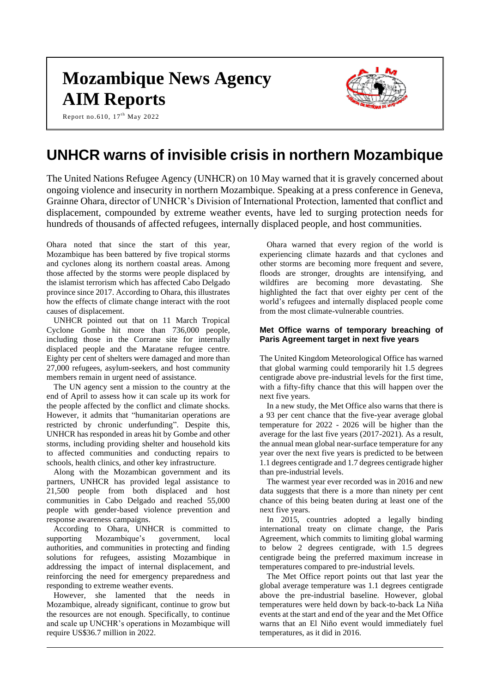# **Mozambique News Agency AIM Reports**



Report no.610, 17<sup>th</sup> May 2022

# **UNHCR warns of invisible crisis in northern Mozambique**

The United Nations Refugee Agency (UNHCR) on 10 May warned that it is gravely concerned about ongoing violence and insecurity in northern Mozambique. Speaking at a press conference in Geneva, Grainne Ohara, director of UNHCR's Division of International Protection, lamented that conflict and displacement, compounded by extreme weather events, have led to surging protection needs for hundreds of thousands of affected refugees, internally displaced people, and host communities.

Ohara noted that since the start of this year, Mozambique has been battered by five tropical storms and cyclones along its northern coastal areas. Among those affected by the storms were people displaced by the islamist terrorism which has affected Cabo Delgado province since 2017. According to Ohara, this illustrates how the effects of climate change interact with the root causes of displacement.

UNHCR pointed out that on 11 March Tropical Cyclone Gombe hit more than 736,000 people, including those in the Corrane site for internally displaced people and the Maratane refugee centre. Eighty per cent of shelters were damaged and more than 27,000 refugees, asylum-seekers, and host community members remain in urgent need of assistance.

The UN agency sent a mission to the country at the end of April to assess how it can scale up its work for the people affected by the conflict and climate shocks. However, it admits that "humanitarian operations are restricted by chronic underfunding". Despite this, UNHCR has responded in areas hit by Gombe and other storms, including providing shelter and household kits to affected communities and conducting repairs to schools, health clinics, and other key infrastructure.

Along with the Mozambican government and its partners, UNHCR has provided legal assistance to 21,500 people from both displaced and host communities in Cabo Delgado and reached 55,000 people with gender-based violence prevention and response awareness campaigns.

According to Ohara, UNHCR is committed to supporting Mozambique's government, local authorities, and communities in protecting and finding solutions for refugees, assisting Mozambique in addressing the impact of internal displacement, and reinforcing the need for emergency preparedness and responding to extreme weather events.

However, she lamented that the needs in Mozambique, already significant, continue to grow but the resources are not enough. Specifically, to continue and scale up UNCHR's operations in Mozambique will require US\$36.7 million in 2022.

Ohara warned that every region of the world is experiencing climate hazards and that cyclones and other storms are becoming more frequent and severe, floods are stronger, droughts are intensifying, and wildfires are becoming more devastating. She highlighted the fact that over eighty per cent of the world's refugees and internally displaced people come from the most climate-vulnerable countries.

# **Met Office warns of temporary breaching of Paris Agreement target in next five years**

The United Kingdom Meteorological Office has warned that global warming could temporarily hit 1.5 degrees centigrade above pre-industrial levels for the first time, with a fifty-fifty chance that this will happen over the next five years.

In a new study, the Met Office also warns that there is a 93 per cent chance that the five-year average global temperature for 2022 - 2026 will be higher than the average for the last five years (2017-2021). As a result, the annual mean global near-surface temperature for any year over the next five years is predicted to be between 1.1 degrees centigrade and 1.7 degrees centigrade higher than pre-industrial levels.

The warmest year ever recorded was in 2016 and new data suggests that there is a more than ninety per cent chance of this being beaten during at least one of the next five years.

In 2015, countries adopted a legally binding international treaty on climate change, the Paris Agreement, which commits to limiting global warming to below 2 degrees centigrade, with 1.5 degrees centigrade being the preferred maximum increase in temperatures compared to pre-industrial levels.

The Met Office report points out that last year the global average temperature was 1.1 degrees centigrade above the pre-industrial baseline. However, global temperatures were held down by back-to-back La Niña events at the start and end of the year and the Met Office warns that an El Niño event would immediately fuel temperatures, as it did in 2016.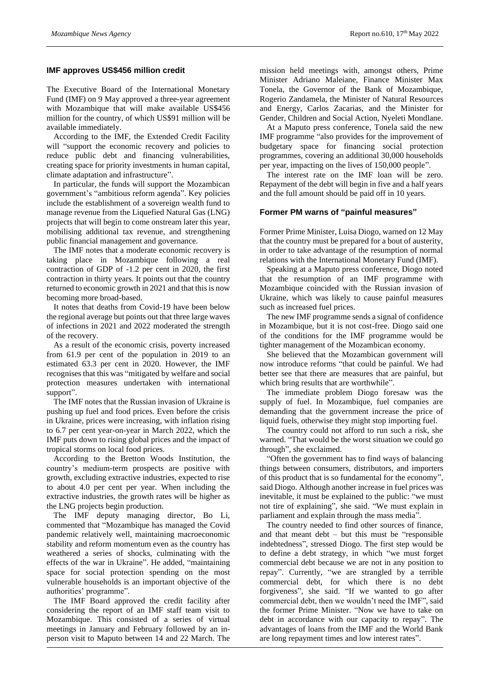#### **IMF approves US\$456 million credit**

The Executive Board of the International Monetary Fund (IMF) on 9 May approved a three-year agreement with Mozambique that will make available US\$456 million for the country, of which US\$91 million will be available immediately.

According to the IMF, the Extended Credit Facility will "support the economic recovery and policies to reduce public debt and financing vulnerabilities, creating space for priority investments in human capital, climate adaptation and infrastructure".

In particular, the funds will support the Mozambican government's "ambitious reform agenda". Key policies include the establishment of a sovereign wealth fund to manage revenue from the Liquefied Natural Gas (LNG) projects that will begin to come onstream later this year, mobilising additional tax revenue, and strengthening public financial management and governance.

The IMF notes that a moderate economic recovery is taking place in Mozambique following a real contraction of GDP of -1.2 per cent in 2020, the first contraction in thirty years. It points out that the country returned to economic growth in 2021 and that this is now becoming more broad-based.

It notes that deaths from Covid-19 have been below the regional average but points out that three large waves of infections in 2021 and 2022 moderated the strength of the recovery.

As a result of the economic crisis, poverty increased from 61.9 per cent of the population in 2019 to an estimated 63.3 per cent in 2020. However, the IMF recognises that this was "mitigated by welfare and social protection measures undertaken with international support".

The IMF notes that the Russian invasion of Ukraine is pushing up fuel and food prices. Even before the crisis in Ukraine, prices were increasing, with inflation rising to 6.7 per cent year-on-year in March 2022, which the IMF puts down to rising global prices and the impact of tropical storms on local food prices.

According to the Bretton Woods Institution, the country's medium-term prospects are positive with growth, excluding extractive industries, expected to rise to about 4.0 per cent per year. When including the extractive industries, the growth rates will be higher as the LNG projects begin production.

The IMF deputy managing director, Bo Li, commented that "Mozambique has managed the Covid pandemic relatively well, maintaining macroeconomic stability and reform momentum even as the country has weathered a series of shocks, culminating with the effects of the war in Ukraine". He added, "maintaining space for social protection spending on the most vulnerable households is an important objective of the authorities' programme".

The IMF Board approved the credit facility after considering the report of an IMF staff team visit to Mozambique. This consisted of a series of virtual meetings in January and February followed by an inperson visit to Maputo between 14 and 22 March. The

mission held meetings with, amongst others, Prime Minister Adriano Maleiane, Finance Minister Max Tonela, the Governor of the Bank of Mozambique, Rogerio Zandamela, the Minister of Natural Resources and Energy, Carlos Zacarias, and the Minister for Gender, Children and Social Action, Nyeleti Mondlane.

At a Maputo press conference, Tonela said the new IMF programme "also provides for the improvement of budgetary space for financing social protection programmes, covering an additional 30,000 households per year, impacting on the lives of 150,000 people".

The interest rate on the IMF loan will be zero. Repayment of the debt will begin in five and a half years and the full amount should be paid off in 10 years.

# **Former PM warns of "painful measures"**

Former Prime Minister, Luisa Diogo, warned on 12 May that the country must be prepared for a bout of austerity, in order to take advantage of the resumption of normal relations with the International Monetary Fund (IMF).

Speaking at a Maputo press conference, Diogo noted that the resumption of an IMF programme with Mozambique coincided with the Russian invasion of Ukraine, which was likely to cause painful measures such as increased fuel prices.

The new IMF programme sends a signal of confidence in Mozambique, but it is not cost-free. Diogo said one of the conditions for the IMF programme would be tighter management of the Mozambican economy.

She believed that the Mozambican government will now introduce reforms "that could be painful. We had better see that there are measures that are painful, but which bring results that are worthwhile".

The immediate problem Diogo foresaw was the supply of fuel. In Mozambique, fuel companies are demanding that the government increase the price of liquid fuels, otherwise they might stop importing fuel.

The country could not afford to run such a risk, she warned. "That would be the worst situation we could go through", she exclaimed.

"Often the government has to find ways of balancing things between consumers, distributors, and importers of this product that is so fundamental for the economy", said Diogo. Although another increase in fuel prices was inevitable, it must be explained to the public: "we must not tire of explaining", she said. "We must explain in parliament and explain through the mass media".

The country needed to find other sources of finance, and that meant debt – but this must be "responsible indebtedness", stressed Diogo. The first step would be to define a debt strategy, in which "we must forget commercial debt because we are not in any position to repay". Currently, "we are strangled by a terrible commercial debt, for which there is no debt forgiveness", she said. "If we wanted to go after commercial debt, then we wouldn't need the IMF", said the former Prime Minister. "Now we have to take on debt in accordance with our capacity to repay". The advantages of loans from the IMF and the World Bank are long repayment times and low interest rates".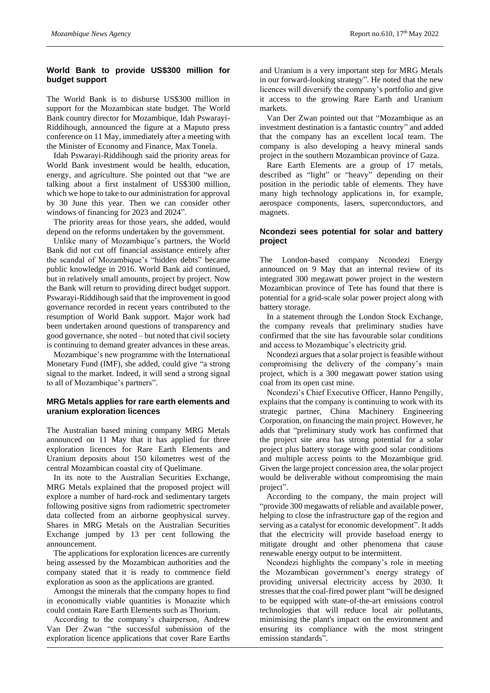# **World Bank to provide US\$300 million for budget support**

The World Bank is to disburse US\$300 million in support for the Mozambican state budget. The World Bank country director for Mozambique, Idah Pswarayi-Riddihough, announced the figure at a Maputo press conference on 11 May, immediately after a meeting with the Minister of Economy and Finance, Max Tonela.

Idah Pswarayi-Riddihough said the priority areas for World Bank investment would be health, education, energy, and agriculture. She pointed out that "we are talking about a first instalment of US\$300 million, which we hope to take to our administration for approval by 30 June this year. Then we can consider other windows of financing for 2023 and 2024".

The priority areas for those years, she added, would depend on the reforms undertaken by the government.

Unlike many of Mozambique's partners, the World Bank did not cut off financial assistance entirely after the scandal of Mozambique's "hidden debts" became public knowledge in 2016. World Bank aid continued, but in relatively small amounts, project by project. Now the Bank will return to providing direct budget support. Pswarayi-Riddihough said that the improvement in good governance recorded in recent years contributed to the resumption of World Bank support. Major work had been undertaken around questions of transparency and good governance, she noted – but noted that civil society is continuing to demand greater advances in these areas.

Mozambique's new programme with the International Monetary Fund (IMF), she added, could give "a strong signal to the market. Indeed, it will send a strong signal to all of Mozambique's partners".

# **MRG Metals applies for rare earth elements and uranium exploration licences**

The Australian based mining company MRG Metals announced on 11 May that it has applied for three exploration licences for Rare Earth Elements and Uranium deposits about 150 kilometres west of the central Mozambican coastal city of Quelimane.

In its note to the Australian Securities Exchange, MRG Metals explained that the proposed project will explore a number of hard-rock and sedimentary targets following positive signs from radiometric spectrometer data collected from an airborne geophysical survey. Shares in MRG Metals on the Australian Securities Exchange jumped by 13 per cent following the announcement.

The applications for exploration licences are currently being assessed by the Mozambican authorities and the company stated that it is ready to commence field exploration as soon as the applications are granted.

Amongst the minerals that the company hopes to find in economically viable quantities is Monazite which could contain Rare Earth Elements such as Thorium.

According to the company's chairperson, Andrew Van Der Zwan "the successful submission of the exploration licence applications that cover Rare Earths

and Uranium is a very important step for MRG Metals in our forward-looking strategy". He noted that the new licences will diversify the company's portfolio and give it access to the growing Rare Earth and Uranium markets.

Van Der Zwan pointed out that "Mozambique as an investment destination is a fantastic country" and added that the company has an excellent local team. The company is also developing a heavy mineral sands project in the southern Mozambican province of Gaza.

Rare Earth Elements are a group of 17 metals, described as "light" or "heavy" depending on their position in the periodic table of elements. They have many high technology applications in, for example, aerospace components, lasers, superconductors, and magnets.

# **Ncondezi sees potential for solar and battery project**

The London-based company Ncondezi Energy announced on 9 May that an internal review of its integrated 300 megawatt power project in the western Mozambican province of Tete has found that there is potential for a grid-scale solar power project along with battery storage.

In a statement through the London Stock Exchange, the company reveals that preliminary studies have confirmed that the site has favourable solar conditions and access to Mozambique's electricity grid.

Ncondezi argues that a solar project is feasible without compromising the delivery of the company's main project, which is a 300 megawatt power station using coal from its open cast mine.

Ncondezi's Chief Executive Officer, Hanno Pengilly, explains that the company is continuing to work with its strategic partner, China Machinery Engineering Corporation, on financing the main project. However, he adds that "preliminary study work has confirmed that the project site area has strong potential for a solar project plus battery storage with good solar conditions and multiple access points to the Mozambique grid. Given the large project concession area, the solar project would be deliverable without compromising the main project".

According to the company, the main project will "provide 300 megawatts of reliable and available power, helping to close the infrastructure gap of the region and serving as a catalyst for economic development". It adds that the electricity will provide baseload energy to mitigate drought and other phenomena that cause renewable energy output to be intermittent.

Ncondezi highlights the company's role in meeting the Mozambican government's energy strategy of providing universal electricity access by 2030. It stresses that the coal-fired power plant "will be designed to be equipped with state-of-the-art emissions control technologies that will reduce local air pollutants, minimising the plant's impact on the environment and ensuring its compliance with the most stringent emission standards".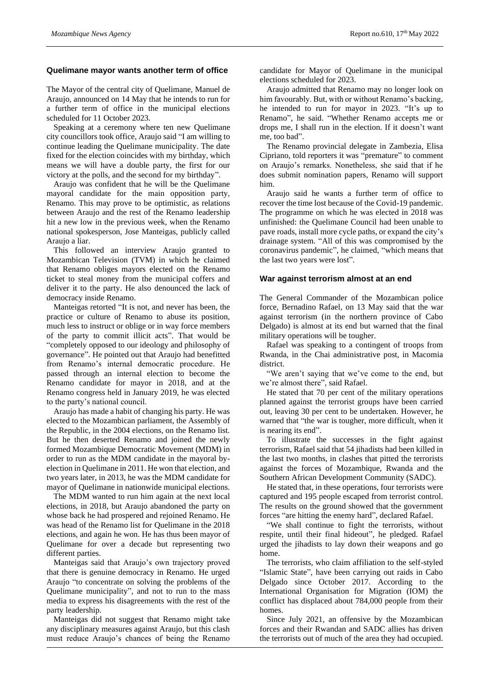#### **Quelimane mayor wants another term of office**

The Mayor of the central city of Quelimane, Manuel de Araujo, announced on 14 May that he intends to run for a further term of office in the municipal elections scheduled for 11 October 2023.

Speaking at a ceremony where ten new Quelimane city councillors took office, Araujo said "I am willing to continue leading the Quelimane municipality. The date fixed for the election coincides with my birthday, which means we will have a double party, the first for our victory at the polls, and the second for my birthday".

Araujo was confident that he will be the Quelimane mayoral candidate for the main opposition party, Renamo. This may prove to be optimistic, as relations between Araujo and the rest of the Renamo leadership hit a new low in the previous week, when the Renamo national spokesperson, Jose Manteigas, publicly called Araujo a liar.

This followed an interview Araujo granted to Mozambican Television (TVM) in which he claimed that Renamo obliges mayors elected on the Renamo ticket to steal money from the municipal coffers and deliver it to the party. He also denounced the lack of democracy inside Renamo.

Manteigas retorted "It is not, and never has been, the practice or culture of Renamo to abuse its position, much less to instruct or oblige or in way force members of the party to commit illicit acts". That would be "completely opposed to our ideology and philosophy of governance". He pointed out that Araujo had benefitted from Renamo's internal democratic procedure. He passed through an internal election to become the Renamo candidate for mayor in 2018, and at the Renamo congress held in January 2019, he was elected to the party's national council.

Araujo has made a habit of changing his party. He was elected to the Mozambican parliament, the Assembly of the Republic, in the 2004 elections, on the Renamo list. But he then deserted Renamo and joined the newly formed Mozambique Democratic Movement (MDM) in order to run as the MDM candidate in the mayoral byelection in Quelimane in 2011. He won that election, and two years later, in 2013, he was the MDM candidate for mayor of Quelimane in nationwide municipal elections.

The MDM wanted to run him again at the next local elections, in 2018, but Araujo abandoned the party on whose back he had prospered and rejoined Renamo. He was head of the Renamo list for Quelimane in the 2018 elections, and again he won. He has thus been mayor of Quelimane for over a decade but representing two different parties.

Manteigas said that Araujo's own trajectory proved that there is genuine democracy in Renamo. He urged Araujo "to concentrate on solving the problems of the Quelimane municipality", and not to run to the mass media to express his disagreements with the rest of the party leadership.

Manteigas did not suggest that Renamo might take any disciplinary measures against Araujo, but this clash must reduce Araujo's chances of being the Renamo

candidate for Mayor of Quelimane in the municipal elections scheduled for 2023.

Araujo admitted that Renamo may no longer look on him favourably. But, with or without Renamo's backing, he intended to run for mayor in 2023. "It's up to Renamo", he said. "Whether Renamo accepts me or drops me, I shall run in the election. If it doesn't want me, too bad".

The Renamo provincial delegate in Zambezia, Elisa Cipriano, told reporters it was "premature" to comment on Araujo's remarks. Nonetheless, she said that if he does submit nomination papers, Renamo will support him.

Araujo said he wants a further term of office to recover the time lost because of the Covid-19 pandemic. The programme on which he was elected in 2018 was unfinished: the Quelimane Council had been unable to pave roads, install more cycle paths, or expand the city's drainage system. "All of this was compromised by the coronavirus pandemic", he claimed, "which means that the last two years were lost".

#### **War against terrorism almost at an end**

The General Commander of the Mozambican police force, Bernadino Rafael, on 13 May said that the war against terrorism (in the northern province of Cabo Delgado) is almost at its end but warned that the final military operations will be tougher.

Rafael was speaking to a contingent of troops from Rwanda, in the Chai administrative post, in Macomia district.

"We aren't saying that we've come to the end, but we're almost there", said Rafael.

He stated that 70 per cent of the military operations planned against the terrorist groups have been carried out, leaving 30 per cent to be undertaken. However, he warned that "the war is tougher, more difficult, when it is nearing its end".

To illustrate the successes in the fight against terrorism, Rafael said that 54 jihadists had been killed in the last two months, in clashes that pitted the terrorists against the forces of Mozambique, Rwanda and the Southern African Development Community (SADC).

He stated that, in these operations, four terrorists were captured and 195 people escaped from terrorist control. The results on the ground showed that the government forces "are hitting the enemy hard", declared Rafael.

"We shall continue to fight the terrorists, without respite, until their final hideout", he pledged. Rafael urged the jihadists to lay down their weapons and go home.

The terrorists, who claim affiliation to the self-styled "Islamic State", have been carrying out raids in Cabo Delgado since October 2017. According to the International Organisation for Migration (IOM) the conflict has displaced about 784,000 people from their homes.

Since July 2021, an offensive by the Mozambican forces and their Rwandan and SADC allies has driven the terrorists out of much of the area they had occupied.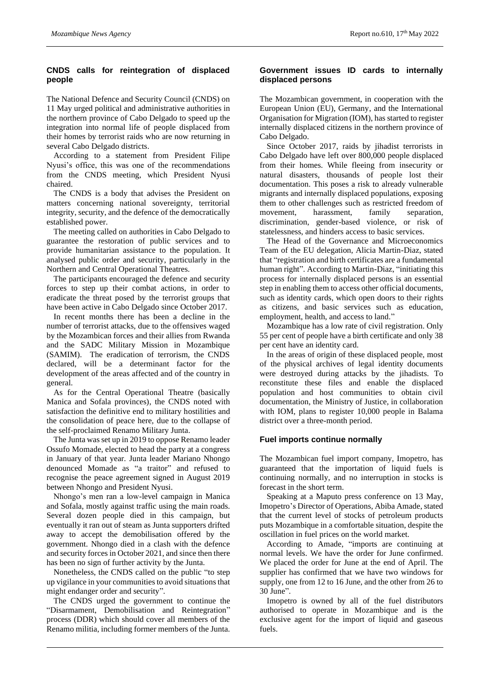# **CNDS calls for reintegration of displaced people**

The National Defence and Security Council (CNDS) on 11 May urged political and administrative authorities in the northern province of Cabo Delgado to speed up the integration into normal life of people displaced from their homes by terrorist raids who are now returning in several Cabo Delgado districts.

According to a statement from President Filipe Nyusi's office, this was one of the recommendations from the CNDS meeting, which President Nyusi chaired.

The CNDS is a body that advises the President on matters concerning national sovereignty, territorial integrity, security, and the defence of the democratically established power.

The meeting called on authorities in Cabo Delgado to guarantee the restoration of public services and to provide humanitarian assistance to the population. It analysed public order and security, particularly in the Northern and Central Operational Theatres.

The participants encouraged the defence and security forces to step up their combat actions, in order to eradicate the threat posed by the terrorist groups that have been active in Cabo Delgado since October 2017.

In recent months there has been a decline in the number of terrorist attacks, due to the offensives waged by the Mozambican forces and their allies from Rwanda and the SADC Military Mission in Mozambique (SAMIM). The eradication of terrorism, the CNDS declared, will be a determinant factor for the development of the areas affected and of the country in general.

As for the Central Operational Theatre (basically Manica and Sofala provinces), the CNDS noted with satisfaction the definitive end to military hostilities and the consolidation of peace here, due to the collapse of the self-proclaimed Renamo Military Junta.

The Junta was set up in 2019 to oppose Renamo leader Ossufo Momade, elected to head the party at a congress in January of that year. Junta leader Mariano Nhongo denounced Momade as "a traitor" and refused to recognise the peace agreement signed in August 2019 between Nhongo and President Nyusi.

Nhongo's men ran a low-level campaign in Manica and Sofala, mostly against traffic using the main roads. Several dozen people died in this campaign, but eventually it ran out of steam as Junta supporters drifted away to accept the demobilisation offered by the government. Nhongo died in a clash with the defence and security forces in October 2021, and since then there has been no sign of further activity by the Junta.

Nonetheless, the CNDS called on the public "to step up vigilance in your communities to avoid situations that might endanger order and security".

The CNDS urged the government to continue the "Disarmament, Demobilisation and Reintegration" process (DDR) which should cover all members of the Renamo militia, including former members of the Junta.

# **Government issues ID cards to internally displaced persons**

The Mozambican government, in cooperation with the European Union (EU), Germany, and the International Organisation for Migration (IOM), has started to register internally displaced citizens in the northern province of Cabo Delgado.

Since October 2017, raids by jihadist terrorists in Cabo Delgado have left over 800,000 people displaced from their homes. While fleeing from insecurity or natural disasters, thousands of people lost their documentation. This poses a risk to already vulnerable migrants and internally displaced populations, exposing them to other challenges such as restricted freedom of movement, harassment, family separation, discrimination, gender-based violence, or risk of statelessness, and hinders access to basic services.

The Head of the Governance and Microeconomics Team of the EU delegation, Alicia Martin-Diaz, stated that "registration and birth certificates are a fundamental human right". According to Martin-Diaz, "initiating this process for internally displaced persons is an essential step in enabling them to access other official documents, such as identity cards, which open doors to their rights as citizens, and basic services such as education, employment, health, and access to land."

Mozambique has a low rate of civil registration. Only 55 per cent of people have a birth certificate and only 38 per cent have an identity card.

In the areas of origin of these displaced people, most of the physical archives of legal identity documents were destroyed during attacks by the jihadists. To reconstitute these files and enable the displaced population and host communities to obtain civil documentation, the Ministry of Justice, in collaboration with IOM, plans to register 10,000 people in Balama district over a three-month period.

# **Fuel imports continue normally**

The Mozambican fuel import company, Imopetro, has guaranteed that the importation of liquid fuels is continuing normally, and no interruption in stocks is forecast in the short term.

Speaking at a Maputo press conference on 13 May, Imopetro's Director of Operations, Abiba Amade, stated that the current level of stocks of petroleum products puts Mozambique in a comfortable situation, despite the oscillation in fuel prices on the world market.

According to Amade, "imports are continuing at normal levels. We have the order for June confirmed. We placed the order for June at the end of April. The supplier has confirmed that we have two windows for supply, one from 12 to 16 June, and the other from 26 to 30 June".

Imopetro is owned by all of the fuel distributors authorised to operate in Mozambique and is the exclusive agent for the import of liquid and gaseous fuels.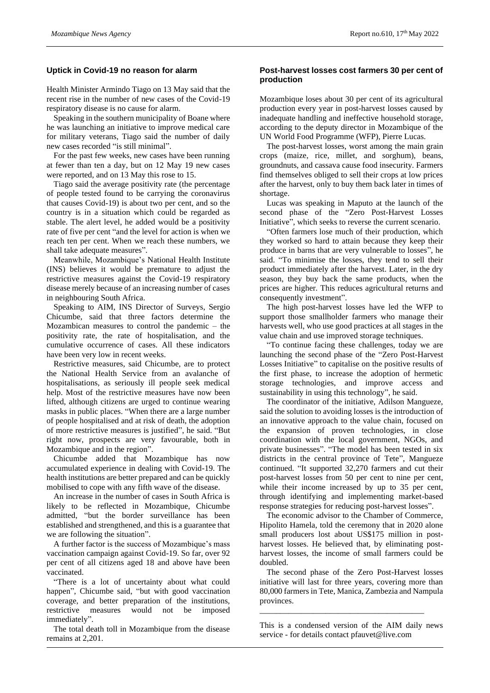#### **Uptick in Covid-19 no reason for alarm**

Health Minister Armindo Tiago on 13 May said that the recent rise in the number of new cases of the Covid-19 respiratory disease is no cause for alarm.

Speaking in the southern municipality of Boane where he was launching an initiative to improve medical care for military veterans, Tiago said the number of daily new cases recorded "is still minimal".

For the past few weeks, new cases have been running at fewer than ten a day, but on 12 May 19 new cases were reported, and on 13 May this rose to 15.

Tiago said the average positivity rate (the percentage of people tested found to be carrying the coronavirus that causes Covid-19) is about two per cent, and so the country is in a situation which could be regarded as stable. The alert level, he added would be a positivity rate of five per cent "and the level for action is when we reach ten per cent. When we reach these numbers, we shall take adequate measures".

Meanwhile, Mozambique's National Health Institute (INS) believes it would be premature to adjust the restrictive measures against the Covid-19 respiratory disease merely because of an increasing number of cases in neighbouring South Africa.

Speaking to AIM, INS Director of Surveys, Sergio Chicumbe, said that three factors determine the Mozambican measures to control the pandemic – the positivity rate, the rate of hospitalisation, and the cumulative occurrence of cases. All these indicators have been very low in recent weeks.

Restrictive measures, said Chicumbe, are to protect the National Health Service from an avalanche of hospitalisations, as seriously ill people seek medical help. Most of the restrictive measures have now been lifted, although citizens are urged to continue wearing masks in public places. "When there are a large number of people hospitalised and at risk of death, the adoption of more restrictive measures is justified", he said. "But right now, prospects are very favourable, both in Mozambique and in the region".

Chicumbe added that Mozambique has now accumulated experience in dealing with Covid-19. The health institutions are better prepared and can be quickly mobilised to cope with any fifth wave of the disease.

An increase in the number of cases in South Africa is likely to be reflected in Mozambique, Chicumbe admitted, "but the border surveillance has been established and strengthened, and this is a guarantee that we are following the situation".

A further factor is the success of Mozambique's mass vaccination campaign against Covid-19. So far, over 92 per cent of all citizens aged 18 and above have been vaccinated.

"There is a lot of uncertainty about what could happen", Chicumbe said, "but with good vaccination coverage, and better preparation of the institutions, restrictive measures would not be imposed immediately".

The total death toll in Mozambique from the disease remains at 2,201.

#### **Post-harvest losses cost farmers 30 per cent of production**

Mozambique loses about 30 per cent of its agricultural production every year in post-harvest losses caused by inadequate handling and ineffective household storage, according to the deputy director in Mozambique of the UN World Food Programme (WFP), Pierre Lucas.

The post-harvest losses, worst among the main grain crops (maize, rice, millet, and sorghum), beans, groundnuts, and cassava cause food insecurity. Farmers find themselves obliged to sell their crops at low prices after the harvest, only to buy them back later in times of shortage.

Lucas was speaking in Maputo at the launch of the second phase of the "Zero Post-Harvest Losses Initiative", which seeks to reverse the current scenario.

"Often farmers lose much of their production, which they worked so hard to attain because they keep their produce in barns that are very vulnerable to losses", he said. "To minimise the losses, they tend to sell their product immediately after the harvest. Later, in the dry season, they buy back the same products, when the prices are higher. This reduces agricultural returns and consequently investment".

The high post-harvest losses have led the WFP to support those smallholder farmers who manage their harvests well, who use good practices at all stages in the value chain and use improved storage techniques.

"To continue facing these challenges, today we are launching the second phase of the "Zero Post-Harvest Losses Initiative" to capitalise on the positive results of the first phase, to increase the adoption of hermetic storage technologies, and improve access and sustainability in using this technology", he said.

The coordinator of the initiative, Adilson Mangueze, said the solution to avoiding losses is the introduction of an innovative approach to the value chain, focused on the expansion of proven technologies, in close coordination with the local government, NGOs, and private businesses". "The model has been tested in six districts in the central province of Tete", Mangueze continued. "It supported 32,270 farmers and cut their post-harvest losses from 50 per cent to nine per cent, while their income increased by up to 35 per cent, through identifying and implementing market-based response strategies for reducing post-harvest losses".

The economic advisor to the Chamber of Commerce, Hipolito Hamela, told the ceremony that in 2020 alone small producers lost about US\$175 million in postharvest losses. He believed that, by eliminating postharvest losses, the income of small farmers could be doubled.

The second phase of the Zero Post-Harvest losses initiative will last for three years, covering more than 80,000 farmers in Tete, Manica, Zambezia and Nampula provinces.

This is a condensed version of the AIM daily news service - for details contact pfauvet@live.com

\_\_\_\_\_\_\_\_\_\_\_\_\_\_\_\_\_\_\_\_\_\_\_\_\_\_\_\_\_\_\_\_\_\_\_\_\_\_\_\_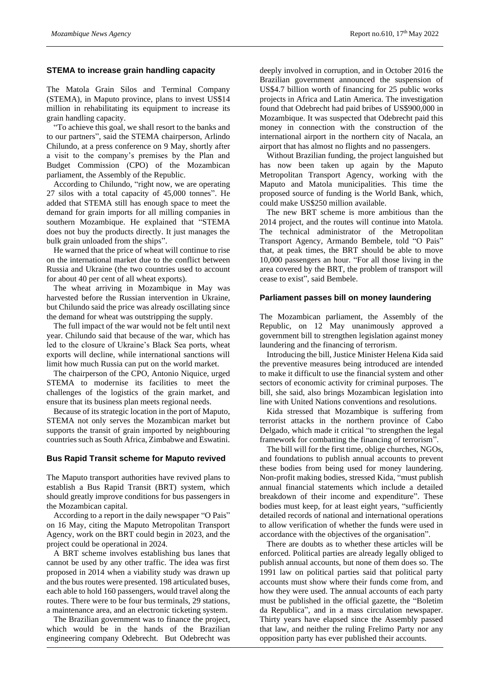#### **STEMA to increase grain handling capacity**

The Matola Grain Silos and Terminal Company (STEMA), in Maputo province, plans to invest US\$14 million in rehabilitating its equipment to increase its grain handling capacity.

"To achieve this goal, we shall resort to the banks and to our partners", said the STEMA chairperson, Arlindo Chilundo, at a press conference on 9 May, shortly after a visit to the company's premises by the Plan and Budget Commission (CPO) of the Mozambican parliament, the Assembly of the Republic.

According to Chilundo, "right now, we are operating 27 silos with a total capacity of 45,000 tonnes". He added that STEMA still has enough space to meet the demand for grain imports for all milling companies in southern Mozambique. He explained that "STEMA does not buy the products directly. It just manages the bulk grain unloaded from the ships".

He warned that the price of wheat will continue to rise on the international market due to the conflict between Russia and Ukraine (the two countries used to account for about 40 per cent of all wheat exports).

The wheat arriving in Mozambique in May was harvested before the Russian intervention in Ukraine, but Chilundo said the price was already oscillating since the demand for wheat was outstripping the supply.

The full impact of the war would not be felt until next year. Chilundo said that because of the war, which has led to the closure of Ukraine's Black Sea ports, wheat exports will decline, while international sanctions will limit how much Russia can put on the world market.

The chairperson of the CPO, Antonio Niquice, urged STEMA to modernise its facilities to meet the challenges of the logistics of the grain market, and ensure that its business plan meets regional needs.

Because of its strategic location in the port of Maputo, STEMA not only serves the Mozambican market but supports the transit of grain imported by neighbouring countries such as South Africa, Zimbabwe and Eswatini.

# **Bus Rapid Transit scheme for Maputo revived**

The Maputo transport authorities have revived plans to establish a Bus Rapid Transit (BRT) system, which should greatly improve conditions for bus passengers in the Mozambican capital.

According to a report in the daily newspaper "O Pais" on 16 May, citing the Maputo Metropolitan Transport Agency, work on the BRT could begin in 2023, and the project could be operational in 2024.

A BRT scheme involves establishing bus lanes that cannot be used by any other traffic. The idea was first proposed in 2014 when a viability study was drawn up and the bus routes were presented. 198 articulated buses, each able to hold 160 passengers, would travel along the routes. There were to be four bus terminals, 29 stations, a maintenance area, and an electronic ticketing system.

The Brazilian government was to finance the project, which would be in the hands of the Brazilian engineering company Odebrecht. But Odebrecht was

deeply involved in corruption, and in October 2016 the Brazilian government announced the suspension of US\$4.7 billion worth of financing for 25 public works projects in Africa and Latin America. The investigation found that Odebrecht had paid bribes of US\$900,000 in Mozambique. It was suspected that Odebrecht paid this money in connection with the construction of the international airport in the northern city of Nacala, an airport that has almost no flights and no passengers.

Without Brazilian funding, the project languished but has now been taken up again by the Maputo Metropolitan Transport Agency, working with the Maputo and Matola municipalities. This time the proposed source of funding is the World Bank, which, could make US\$250 million available.

The new BRT scheme is more ambitious than the 2014 project, and the routes will continue into Matola. The technical administrator of the Metropolitan Transport Agency, Armando Bembele, told "O Pais" that, at peak times, the BRT should be able to move 10,000 passengers an hour. "For all those living in the area covered by the BRT, the problem of transport will cease to exist", said Bembele.

#### **Parliament passes bill on money laundering**

The Mozambican parliament, the Assembly of the Republic, on 12 May unanimously approved a government bill to strengthen legislation against money laundering and the financing of terrorism.

Introducing the bill, Justice Minister Helena Kida said the preventive measures being introduced are intended to make it difficult to use the financial system and other sectors of economic activity for criminal purposes. The bill, she said, also brings Mozambican legislation into line with United Nations conventions and resolutions.

Kida stressed that Mozambique is suffering from terrorist attacks in the northern province of Cabo Delgado, which made it critical "to strengthen the legal framework for combatting the financing of terrorism".

The bill will for the first time, oblige churches, NGOs, and foundations to publish annual accounts to prevent these bodies from being used for money laundering. Non-profit making bodies, stressed Kida, "must publish annual financial statements which include a detailed breakdown of their income and expenditure". These bodies must keep, for at least eight years, "sufficiently detailed records of national and international operations to allow verification of whether the funds were used in accordance with the objectives of the organisation".

There are doubts as to whether these articles will be enforced. Political parties are already legally obliged to publish annual accounts, but none of them does so. The 1991 law on political parties said that political party accounts must show where their funds come from, and how they were used. The annual accounts of each party must be published in the official gazette, the "Boletim da Republica", and in a mass circulation newspaper. Thirty years have elapsed since the Assembly passed that law, and neither the ruling Frelimo Party nor any opposition party has ever published their accounts.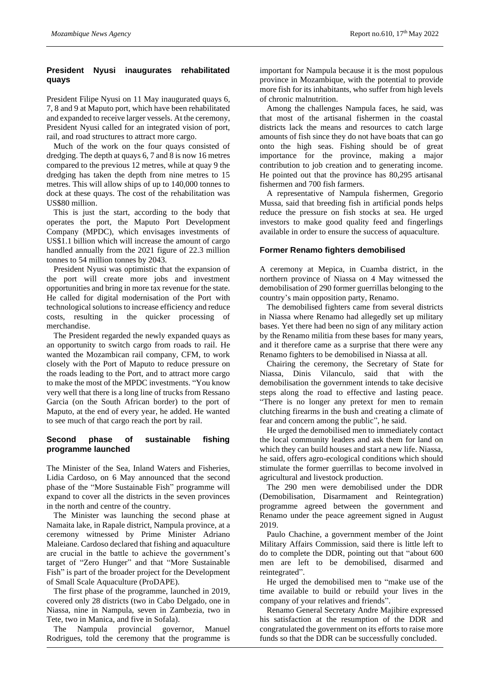# **President Nyusi inaugurates rehabilitated quays**

President Filipe Nyusi on 11 May inaugurated quays 6, 7, 8 and 9 at Maputo port, which have been rehabilitated and expanded to receive larger vessels. At the ceremony, President Nyusi called for an integrated vision of port, rail, and road structures to attract more cargo.

Much of the work on the four quays consisted of dredging. The depth at quays 6, 7 and 8 is now 16 metres compared to the previous 12 metres, while at quay 9 the dredging has taken the depth from nine metres to 15 metres. This will allow ships of up to 140,000 tonnes to dock at these quays. The cost of the rehabilitation was US\$80 million.

This is just the start, according to the body that operates the port, the Maputo Port Development Company (MPDC), which envisages investments of US\$1.1 billion which will increase the amount of cargo handled annually from the 2021 figure of 22.3 million tonnes to 54 million tonnes by 2043.

President Nyusi was optimistic that the expansion of the port will create more jobs and investment opportunities and bring in more tax revenue for the state. He called for digital modernisation of the Port with technological solutions to increase efficiency and reduce costs, resulting in the quicker processing of merchandise.

The President regarded the newly expanded quays as an opportunity to switch cargo from roads to rail. He wanted the Mozambican rail company, CFM, to work closely with the Port of Maputo to reduce pressure on the roads leading to the Port, and to attract more cargo to make the most of the MPDC investments. "You know very well that there is a long line of trucks from Ressano Garcia (on the South African border) to the port of Maputo, at the end of every year, he added. He wanted to see much of that cargo reach the port by rail.

# **Second phase of sustainable fishing programme launched**

The Minister of the Sea, Inland Waters and Fisheries, Lidia Cardoso, on 6 May announced that the second phase of the "More Sustainable Fish" programme will expand to cover all the districts in the seven provinces in the north and centre of the country.

The Minister was launching the second phase at Namaita lake, in Rapale district, Nampula province, at a ceremony witnessed by Prime Minister Adriano Maleiane. Cardoso declared that fishing and aquaculture are crucial in the battle to achieve the government's target of "Zero Hunger" and that "More Sustainable Fish" is part of the broader project for the Development of Small Scale Aquaculture (ProDAPE).

The first phase of the programme, launched in 2019, covered only 28 districts (two in Cabo Delgado, one in Niassa, nine in Nampula, seven in Zambezia, two in Tete, two in Manica, and five in Sofala).

The Nampula provincial governor, Manuel Rodrigues, told the ceremony that the programme is

important for Nampula because it is the most populous province in Mozambique, with the potential to provide more fish for its inhabitants, who suffer from high levels of chronic malnutrition.

Among the challenges Nampula faces, he said, was that most of the artisanal fishermen in the coastal districts lack the means and resources to catch large amounts of fish since they do not have boats that can go onto the high seas. Fishing should be of great importance for the province, making a major contribution to job creation and to generating income. He pointed out that the province has 80,295 artisanal fishermen and 700 fish farmers.

A representative of Nampula fishermen, Gregorio Mussa, said that breeding fish in artificial ponds helps reduce the pressure on fish stocks at sea. He urged investors to make good quality feed and fingerlings available in order to ensure the success of aquaculture.

# **Former Renamo fighters demobilised**

A ceremony at Mepica, in Cuamba district, in the northern province of Niassa on 4 May witnessed the demobilisation of 290 former guerrillas belonging to the country's main opposition party, Renamo.

The demobilised fighters came from several districts in Niassa where Renamo had allegedly set up military bases. Yet there had been no sign of any military action by the Renamo militia from these bases for many years, and it therefore came as a surprise that there were any Renamo fighters to be demobilised in Niassa at all.

Chairing the ceremony, the Secretary of State for Niassa, Dinis Vilanculo, said that with the demobilisation the government intends to take decisive steps along the road to effective and lasting peace. "There is no longer any pretext for men to remain clutching firearms in the bush and creating a climate of fear and concern among the public", he said.

He urged the demobilised men to immediately contact the local community leaders and ask them for land on which they can build houses and start a new life. Niassa, he said, offers agro-ecological conditions which should stimulate the former guerrillas to become involved in agricultural and livestock production.

The 290 men were demobilised under the DDR (Demobilisation, Disarmament and Reintegration) programme agreed between the government and Renamo under the peace agreement signed in August 2019.

Paulo Chachine, a government member of the Joint Military Affairs Commission, said there is little left to do to complete the DDR, pointing out that "about 600 men are left to be demobilised, disarmed and reintegrated".

He urged the demobilised men to "make use of the time available to build or rebuild your lives in the company of your relatives and friends".

Renamo General Secretary Andre Majibire expressed his satisfaction at the resumption of the DDR and congratulated the government on its efforts to raise more funds so that the DDR can be successfully concluded.